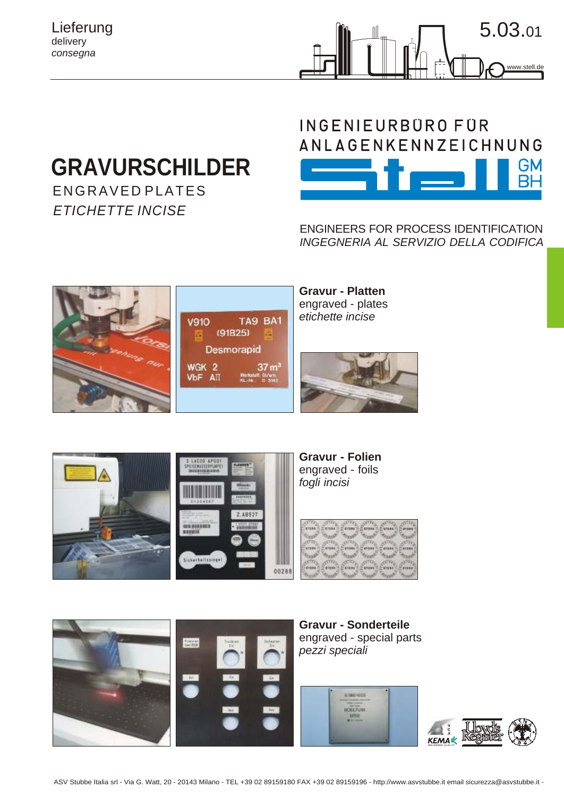Lieferung delivery *consegna*



## **GRAVURSCHILDER**

ENGRAVE D PLATES *ETICHETTE INCISE*



ENGINEERS FOR PROCESS IDENTIFICATION *INGEGNERIA AL SERVIZIO DELLA CODIFICA*







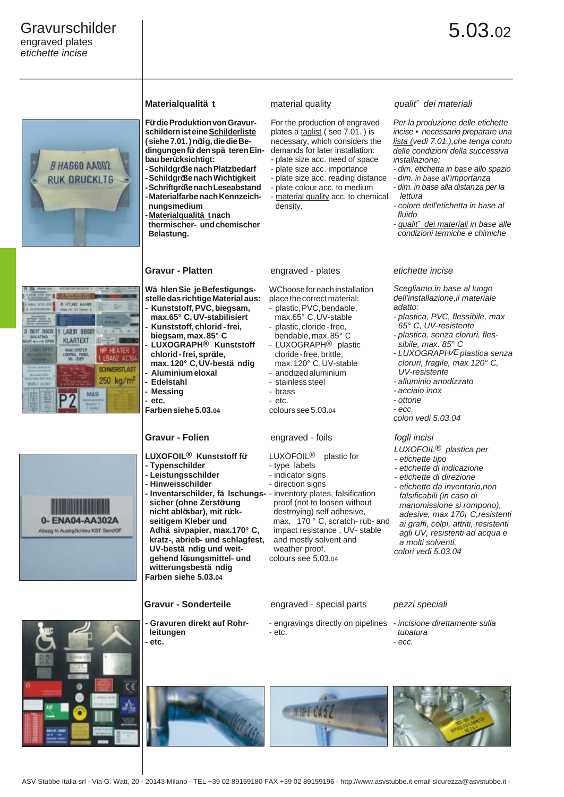







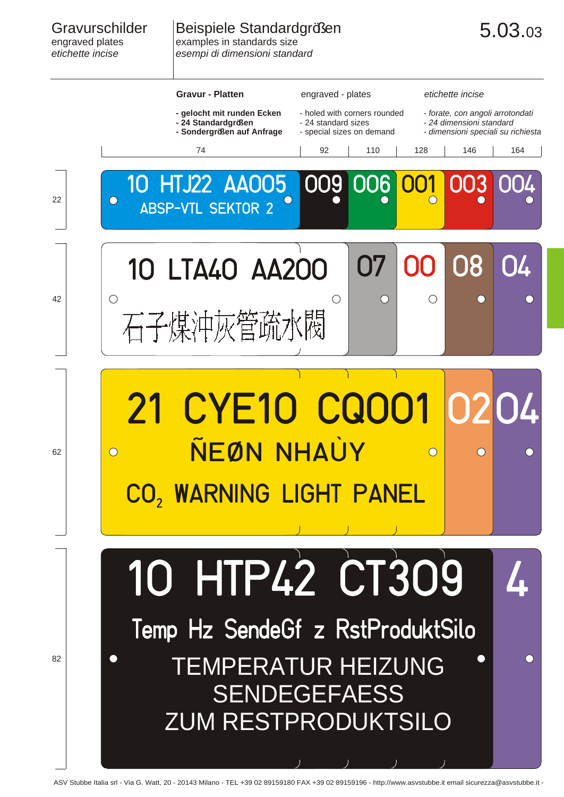## Beispiele Standardgrößen examples in standards size *esempi di dimensioni standard*